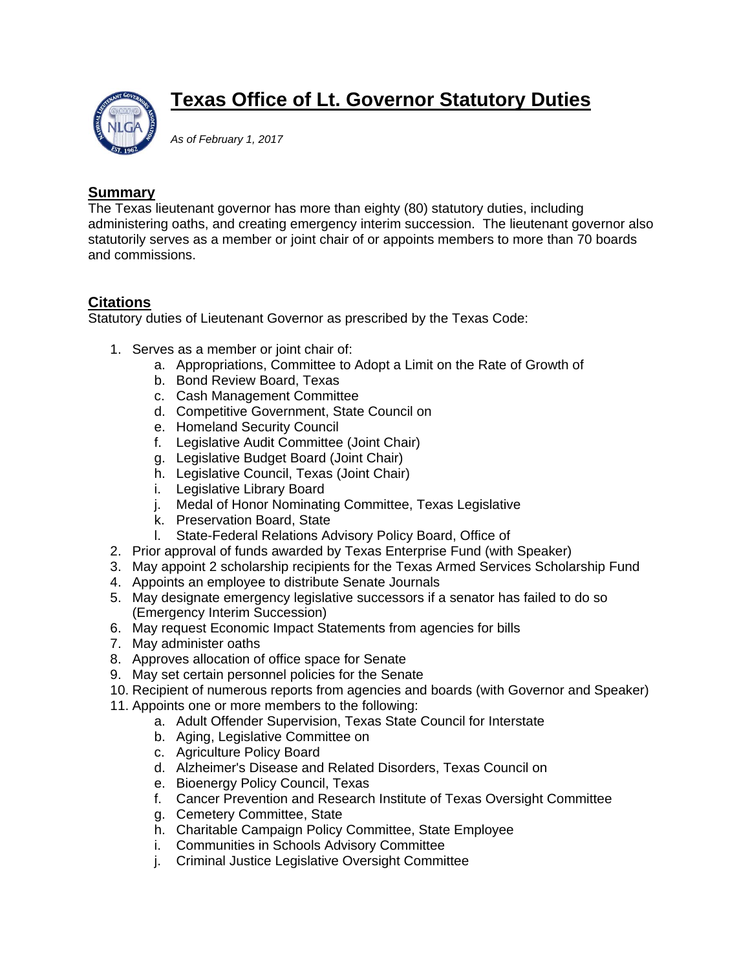

## **Texas Office of Lt. Governor Statutory Duties**

*As of February 1, 2017* 

## **Summary**

The Texas lieutenant governor has more than eighty (80) statutory duties, including administering oaths, and creating emergency interim succession. The lieutenant governor also statutorily serves as a member or joint chair of or appoints members to more than 70 boards and commissions.

## **Citations**

Statutory duties of Lieutenant Governor as prescribed by the Texas Code:

- 1. Serves as a member or joint chair of:
	- a. Appropriations, Committee to Adopt a Limit on the Rate of Growth of
	- b. Bond Review Board, Texas
	- c. Cash Management Committee
	- d. Competitive Government, State Council on
	- e. Homeland Security Council
	- f. Legislative Audit Committee (Joint Chair)
	- g. Legislative Budget Board (Joint Chair)
	- h. Legislative Council, Texas (Joint Chair)
	- i. Legislative Library Board
	- j. Medal of Honor Nominating Committee, Texas Legislative
	- k. Preservation Board, State
	- l. State-Federal Relations Advisory Policy Board, Office of
- 2. Prior approval of funds awarded by Texas Enterprise Fund (with Speaker)
- 3. May appoint 2 scholarship recipients for the Texas Armed Services Scholarship Fund
- 4. Appoints an employee to distribute Senate Journals
- 5. May designate emergency legislative successors if a senator has failed to do so (Emergency Interim Succession)
- 6. May request Economic Impact Statements from agencies for bills
- 7. May administer oaths
- 8. Approves allocation of office space for Senate
- 9. May set certain personnel policies for the Senate
- 10. Recipient of numerous reports from agencies and boards (with Governor and Speaker)
- 11. Appoints one or more members to the following:
	- a. Adult Offender Supervision, Texas State Council for Interstate
	- b. Aging, Legislative Committee on
	- c. Agriculture Policy Board
	- d. Alzheimer's Disease and Related Disorders, Texas Council on
	- e. Bioenergy Policy Council, Texas
	- f. Cancer Prevention and Research Institute of Texas Oversight Committee
	- g. Cemetery Committee, State
	- h. Charitable Campaign Policy Committee, State Employee
	- i. Communities in Schools Advisory Committee
	- j. Criminal Justice Legislative Oversight Committee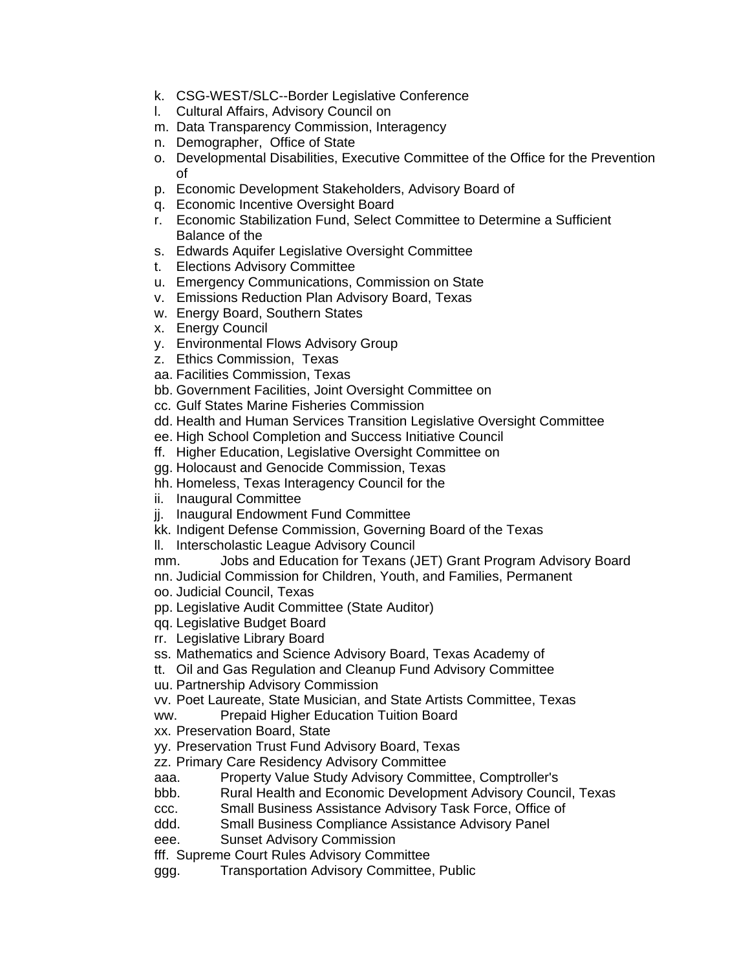- k. CSG-WEST/SLC--Border Legislative Conference
- l. Cultural Affairs, Advisory Council on
- m. Data Transparency Commission, Interagency
- n. Demographer, Office of State
- o. Developmental Disabilities, Executive Committee of the Office for the Prevention of
- p. Economic Development Stakeholders, Advisory Board of
- q. Economic Incentive Oversight Board
- r. Economic Stabilization Fund, Select Committee to Determine a Sufficient Balance of the
- s. Edwards Aquifer Legislative Oversight Committee
- t. Elections Advisory Committee
- u. Emergency Communications, Commission on State
- v. Emissions Reduction Plan Advisory Board, Texas
- w. Energy Board, Southern States
- x. Energy Council
- y. Environmental Flows Advisory Group
- z. Ethics Commission, Texas
- aa. Facilities Commission, Texas
- bb. Government Facilities, Joint Oversight Committee on
- cc. Gulf States Marine Fisheries Commission
- dd. Health and Human Services Transition Legislative Oversight Committee
- ee. High School Completion and Success Initiative Council
- ff. Higher Education, Legislative Oversight Committee on
- gg. Holocaust and Genocide Commission, Texas
- hh. Homeless, Texas Interagency Council for the
- ii. Inaugural Committee
- jj. Inaugural Endowment Fund Committee
- kk. Indigent Defense Commission, Governing Board of the Texas
- ll. Interscholastic League Advisory Council
- mm. Jobs and Education for Texans (JET) Grant Program Advisory Board
- nn. Judicial Commission for Children, Youth, and Families, Permanent
- oo. Judicial Council, Texas
- pp. Legislative Audit Committee (State Auditor)
- qq. Legislative Budget Board
- rr. Legislative Library Board
- ss. Mathematics and Science Advisory Board, Texas Academy of
- tt. Oil and Gas Regulation and Cleanup Fund Advisory Committee
- uu. Partnership Advisory Commission
- vv. Poet Laureate, State Musician, and State Artists Committee, Texas
- ww. Prepaid Higher Education Tuition Board
- xx. Preservation Board, State
- yy. Preservation Trust Fund Advisory Board, Texas
- zz. Primary Care Residency Advisory Committee
- aaa. Property Value Study Advisory Committee, Comptroller's
- bbb. Rural Health and Economic Development Advisory Council, Texas
- ccc. Small Business Assistance Advisory Task Force, Office of
- ddd. Small Business Compliance Assistance Advisory Panel
- eee. Sunset Advisory Commission
- fff. Supreme Court Rules Advisory Committee
- ggg. Transportation Advisory Committee, Public